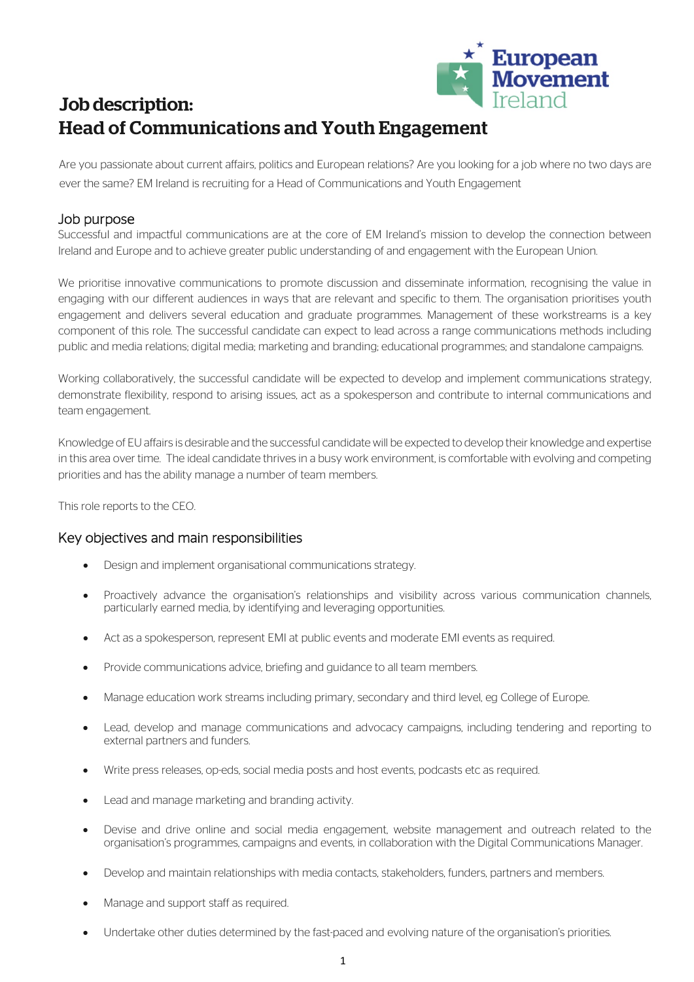

# Job description: Head of Communications and Youth Engagement

Are you passionate about current affairs, politics and European relations? Are you looking for a job where no two days are ever the same? EM Ireland is recruiting for a Head of Communications and Youth Engagement

# Job purpose

Successful and impactful communications are at the core of EM Ireland's mission to develop the connection between Ireland and Europe and to achieve greater public understanding of and engagement with the European Union.

We prioritise innovative communications to promote discussion and disseminate information, recognising the value in engaging with our different audiences in ways that are relevant and specific to them. The organisation prioritises youth engagement and delivers several education and graduate programmes. Management of these workstreams is a key component of this role. The successful candidate can expect to lead across a range communications methods including public and media relations; digital media; marketing and branding; educational programmes; and standalone campaigns.

Working collaboratively, the successful candidate will be expected to develop and implement communications strategy, demonstrate flexibility, respond to arising issues, act as a spokesperson and contribute to internal communications and team engagement.

Knowledge of EU affairs is desirable and the successful candidate will be expected to develop their knowledge and expertise in this area over time. The ideal candidate thrives in a busy work environment, is comfortable with evolving and competing priorities and has the ability manage a number of team members.

This role reports to the CEO.

## Key objectives and main responsibilities

- Design and implement organisational communications strategy.
- Proactively advance the organisation's relationships and visibility across various communication channels, particularly earned media, by identifying and leveraging opportunities.
- Act as a spokesperson, represent EMI at public events and moderate EMI events as required.
- Provide communications advice, briefing and guidance to all team members.
- Manage education work streams including primary, secondary and third level, eg College of Europe.
- Lead, develop and manage communications and advocacy campaigns, including tendering and reporting to external partners and funders.
- Write press releases, op-eds, social media posts and host events, podcasts etc as required.
- Lead and manage marketing and branding activity.
- Devise and drive online and social media engagement, website management and outreach related to the organisation's programmes, campaigns and events, in collaboration with the Digital Communications Manager.
- Develop and maintain relationships with media contacts, stakeholders, funders, partners and members.
- Manage and support staff as required.
- Undertake other duties determined by the fast-paced and evolving nature of the organisation's priorities.